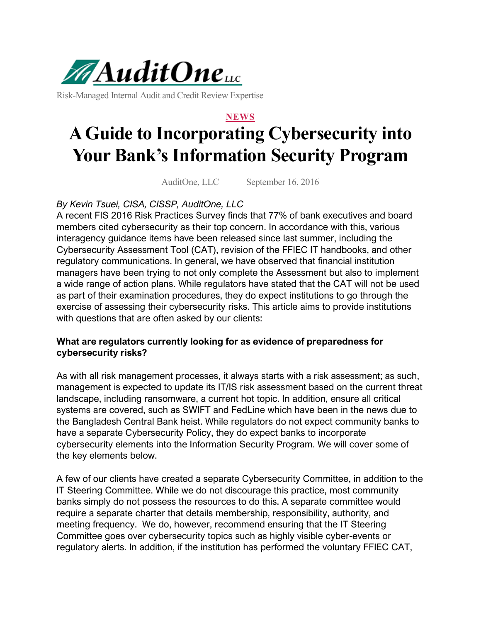

Risk-Managed Internal Audit and Credit Review Expertise

#### **NEWS**

# **A Guide to Incorporating Cybersecurity into Your Bank's Information Security Program**

AuditOne, LLC September 16, 2016

# *By Kevin Tsuei, CISA, CISSP, AuditOne, LLC*

A recent FIS 2016 Risk Practices Survey finds that 77% of bank executives and board members cited cybersecurity as their top concern. In accordance with this, various interagency guidance items have been released since last summer, including the Cybersecurity Assessment Tool (CAT), revision of the FFIEC IT handbooks, and other regulatory communications. In general, we have observed that financial institution managers have been trying to not only complete the Assessment but also to implement a wide range of action plans. While regulators have stated that the CAT will not be used as part of their examination procedures, they do expect institutions to go through the exercise of assessing their cybersecurity risks. This article aims to provide institutions with questions that are often asked by our clients:

### **What are regulators currently looking for as evidence of preparedness for cybersecurity risks?**

As with all risk management processes, it always starts with a risk assessment; as such, management is expected to update its IT/IS risk assessment based on the current threat landscape, including ransomware, a current hot topic. In addition, ensure all critical systems are covered, such as SWIFT and FedLine which have been in the news due to the Bangladesh Central Bank heist. While regulators do not expect community banks to have a separate Cybersecurity Policy, they do expect banks to incorporate cybersecurity elements into the Information Security Program. We will cover some of the key elements below.

A few of our clients have created a separate Cybersecurity Committee, in addition to the IT Steering Committee. While we do not discourage this practice, most community banks simply do not possess the resources to do this. A separate committee would require a separate charter that details membership, responsibility, authority, and meeting frequency. We do, however, recommend ensuring that the IT Steering Committee goes over cybersecurity topics such as highly visible cyber-events or regulatory alerts. In addition, if the institution has performed the voluntary FFIEC CAT,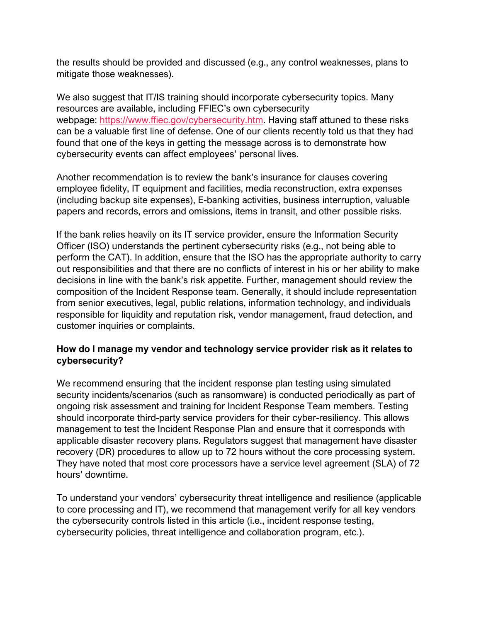the results should be provided and discussed (e.g., any control weaknesses, plans to mitigate those weaknesses).

We also suggest that IT/IS training should incorporate cybersecurity topics. Many resources are available, including FFIEC's own cybersecurity webpage: [https://www.ffiec.gov/cybersecurity.htm.](https://www.ffiec.gov/cybersecurity.htm) Having staff attuned to these risks can be a valuable first line of defense. One of our clients recently told us that they had found that one of the keys in getting the message across is to demonstrate how cybersecurity events can affect employees' personal lives.

Another recommendation is to review the bank's insurance for clauses covering employee fidelity, IT equipment and facilities, media reconstruction, extra expenses (including backup site expenses), E-banking activities, business interruption, valuable papers and records, errors and omissions, items in transit, and other possible risks.

If the bank relies heavily on its IT service provider, ensure the Information Security Officer (ISO) understands the pertinent cybersecurity risks (e.g., not being able to perform the CAT). In addition, ensure that the ISO has the appropriate authority to carry out responsibilities and that there are no conflicts of interest in his or her ability to make decisions in line with the bank's risk appetite. Further, management should review the composition of the Incident Response team. Generally, it should include representation from senior executives, legal, public relations, information technology, and individuals responsible for liquidity and reputation risk, vendor management, fraud detection, and customer inquiries or complaints.

### **How do I manage my vendor and technology service provider risk as it relates to cybersecurity?**

We recommend ensuring that the incident response plan testing using simulated security incidents/scenarios (such as ransomware) is conducted periodically as part of ongoing risk assessment and training for Incident Response Team members. Testing should incorporate third-party service providers for their cyber-resiliency. This allows management to test the Incident Response Plan and ensure that it corresponds with applicable disaster recovery plans. Regulators suggest that management have disaster recovery (DR) procedures to allow up to 72 hours without the core processing system. They have noted that most core processors have a service level agreement (SLA) of 72 hours' downtime.

To understand your vendors' cybersecurity threat intelligence and resilience (applicable to core processing and IT), we recommend that management verify for all key vendors the cybersecurity controls listed in this article (i.e., incident response testing, cybersecurity policies, threat intelligence and collaboration program, etc.).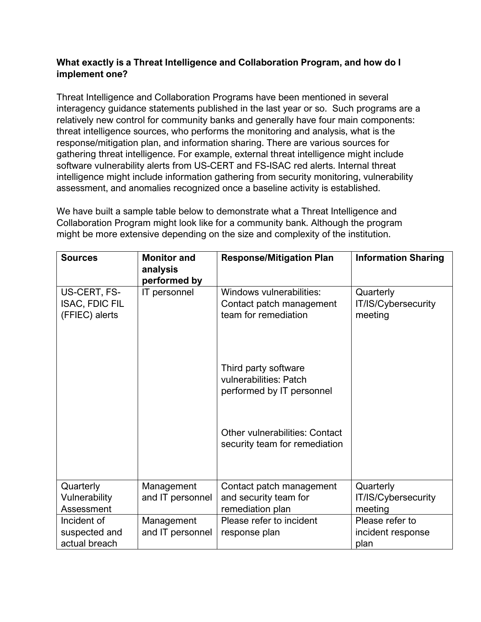# **What exactly is a Threat Intelligence and Collaboration Program, and how do I implement one?**

Threat Intelligence and Collaboration Programs have been mentioned in several interagency guidance statements published in the last year or so. Such programs are a relatively new control for community banks and generally have four main components: threat intelligence sources, who performs the monitoring and analysis, what is the response/mitigation plan, and information sharing. There are various sources for gathering threat intelligence. For example, external threat intelligence might include software vulnerability alerts from US-CERT and FS-ISAC red alerts. Internal threat intelligence might include information gathering from security monitoring, vulnerability assessment, and anomalies recognized once a baseline activity is established.

We have built a sample table below to demonstrate what a Threat Intelligence and Collaboration Program might look like for a community bank. Although the program might be more extensive depending on the size and complexity of the institution.

| <b>Sources</b>        | <b>Monitor and</b><br>analysis | <b>Response/Mitigation Plan</b>                                        | <b>Information Sharing</b> |
|-----------------------|--------------------------------|------------------------------------------------------------------------|----------------------------|
|                       | performed by                   |                                                                        |                            |
| US-CERT, FS-          | IT personnel                   | Windows vulnerabilities:                                               | Quarterly                  |
| <b>ISAC, FDIC FIL</b> |                                | Contact patch management                                               | IT/IS/Cybersecurity        |
| (FFIEC) alerts        |                                | team for remediation                                                   | meeting                    |
|                       |                                |                                                                        |                            |
|                       |                                |                                                                        |                            |
|                       |                                | Third party software<br>vulnerabilities: Patch                         |                            |
|                       |                                | performed by IT personnel                                              |                            |
|                       |                                |                                                                        |                            |
|                       |                                |                                                                        |                            |
|                       |                                | <b>Other vulnerabilities: Contact</b><br>security team for remediation |                            |
|                       |                                |                                                                        |                            |
|                       |                                |                                                                        |                            |
| Quarterly             | Management                     | Contact patch management                                               | Quarterly                  |
| Vulnerability         | and IT personnel               | and security team for                                                  | IT/IS/Cybersecurity        |
| Assessment            |                                | remediation plan                                                       | meeting                    |
| Incident of           | Management                     | Please refer to incident                                               | Please refer to            |
| suspected and         | and IT personnel               | response plan                                                          | incident response          |
| actual breach         |                                |                                                                        | plan                       |